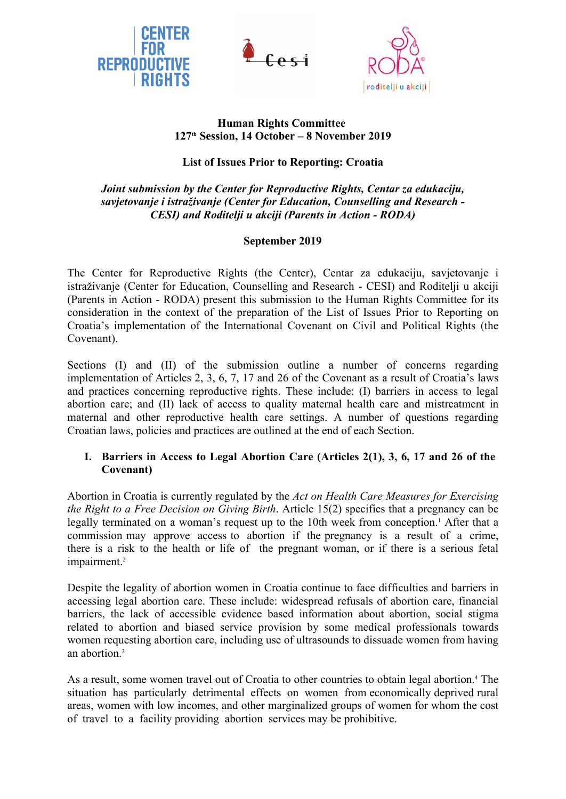





## **Human Rights Committee 127th Session, 14 October – 8 November 2019**

# **List of Issues Prior to Reporting: Croatia**

# *Joint submission by the Center for Reproductive Rights, Centar za edukaciju, savjetovanje i istraživanje (Center for Education, Counselling and Research - CESI) and Roditelji u akciji (Parents in Action - RODA)*

# **September 2019**

The Center for Reproductive Rights (the Center), Centar za edukaciju, savjetovanje i istraživanje (Center for Education, Counselling and Research - CESI) and Roditelji u akciji (Parents in Action - RODA) present this submission to the Human Rights Committee for its consideration in the context of the preparation of the List of Issues Prior to Reporting on Croatia's implementation of the International Covenant on Civil and Political Rights (the Covenant).

Sections (I) and (II) of the submission outline a number of concerns regarding implementation of Articles 2, 3, 6, 7, 17 and 26 of the Covenant as a result of Croatia's laws and practices concerning reproductive rights. These include: (I) barriers in access to legal abortion care; and (II) lack of access to quality maternal health care and mistreatment in maternal and other reproductive health care settings. A number of questions regarding Croatian laws, policies and practices are outlined at the end of each Section.

### **I. Barriers in Access to Legal Abortion Care (Articles 2(1), 3, 6, 17 and 26 of the Covenant)**

Abortion in Croatia is currently regulated by the *Act on Health Care Measures for Exercising the Right to a Free Decision on Giving Birth*. Article 15(2) specifies that a pregnancy can be legally terminated on a woman's request up to the 10th week from conception.<sup>1</sup> After that a commission may approve access to abortion if the pregnancy is a result of a crime, there is a risk to the health or life of the pregnant woman, or if there is a serious fetal impairment.<sup>2</sup>

Despite the legality of abortion women in Croatia continue to face difficulties and barriers in accessing legal abortion care. These include: widespread refusals of abortion care, financial barriers, the lack of accessible evidence based information about abortion, social stigma related to abortion and biased service provision by some medical professionals towards women requesting abortion care, including use of ultrasounds to dissuade women from having an abortion $3$ 

As a result, some women travel out of Croatia to other countries to obtain legal abortion.<sup>4</sup> The situation has particularly detrimental effects on women from economically deprived rural areas, women with low incomes, and other marginalized groups of women for whom the cost of travel to a facility providing abortion services may be prohibitive.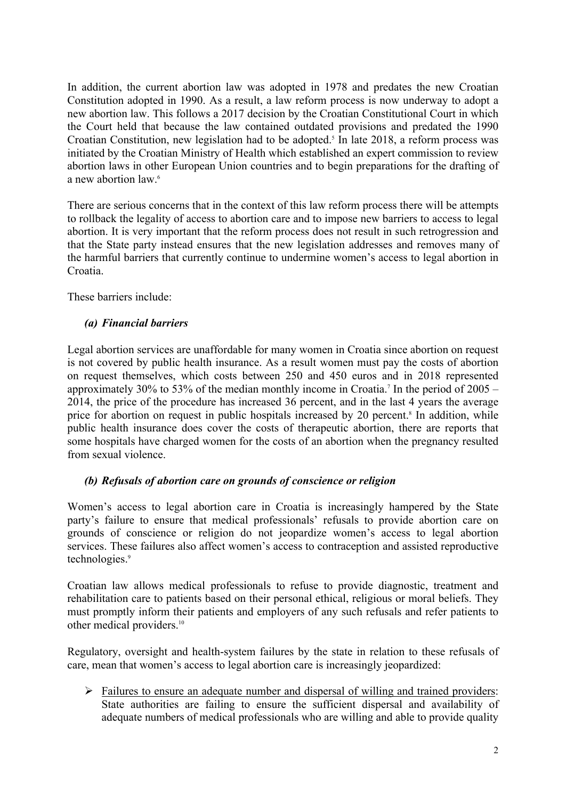In addition, the current abortion law was adopted in 1978 and predates the new Croatian Constitution adopted in 1990. As a result, a law reform process is now underway to adopt a new abortion law. This follows a 2017 decision by the Croatian Constitutional Court in which the Court held that because the law contained outdated provisions and predated the 1990 Croatian Constitution, new legislation had to be adopted.<sup>5</sup> In late 2018, a reform process was initiated by the Croatian Ministry of Health which established an expert commission to review abortion laws in other European Union countries and to begin preparations for the drafting of a new abortion law.<sup>6</sup>

There are serious concerns that in the context of this law reform process there will be attempts to rollback the legality of access to abortion care and to impose new barriers to access to legal abortion. It is very important that the reform process does not result in such retrogression and that the State party instead ensures that the new legislation addresses and removes many of the harmful barriers that currently continue to undermine women's access to legal abortion in Croatia.

These barriers include:

### *(a) Financial barriers*

Legal abortion services are unaffordable for many women in Croatia since abortion on request is not covered by public health insurance. As a result women must pay the costs of abortion on request themselves, which costs between 250 and 450 euros and in 2018 represented approximately 30% to 53% of the median monthly income in Croatia.<sup>7</sup> In the period of  $2005 - 2014$ , the price of the procedure has increased 36 percent, and in the last 4 years the average price for abortion on request in public hospitals increased by 20 percent.<sup>8</sup> In addition, while public health insurance does cover the costs of therapeutic abortion, there are reports that some hospitals have charged women for the costs of an abortion when the pregnancy resulted from sexual violence.

### *(b) Refusals of abortion care on grounds of conscience or religion*

Women's access to legal abortion care in Croatia is increasingly hampered by the State party's failure to ensure that medical professionals' refusals to provide abortion care on grounds of conscience or religion do not jeopardize women's access to legal abortion services. These failures also affect women's access to contraception and assisted reproductive technologies.<sup>9</sup>

Croatian law allows medical professionals to refuse to provide diagnostic, treatment and rehabilitation care to patients based on their personal ethical, religious or moral beliefs. They must promptly inform their patients and employers of any such refusals and refer patients to other medical providers.<sup>10</sup>

Regulatory, oversight and health-system failures by the state in relation to these refusals of care, mean that women's access to legal abortion care is increasingly jeopardized:

 Failures to ensure an adequate number and dispersal of willing and trained providers: State authorities are failing to ensure the sufficient dispersal and availability of adequate numbers of medical professionals who are willing and able to provide quality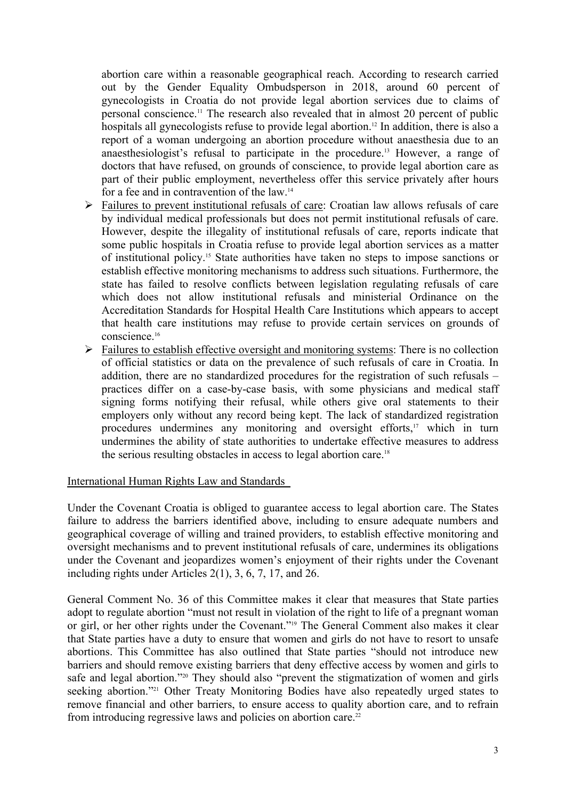abortion care within a reasonable geographical reach. According to research carried out by the Gender Equality Ombudsperson in 2018, around 60 percent of gynecologists in Croatia do not provide legal abortion services due to claims of personal conscience.<sup>11</sup> The research also revealed that in almost 20 percent of public hospitals all gynecologists refuse to provide legal abortion.<sup>12</sup> In addition, there is also a report of a woman undergoing an abortion procedure without anaesthesia due to an anaesthesiologist's refusal to participate in the procedure.<sup>13</sup> However, a range of doctors that have refused, on grounds of conscience, to provide legal abortion care as part of their public employment, nevertheless offer this service privately after hours for a fee and in contravention of the law.<sup>14</sup>

- Failures to prevent institutional refusals of care: Croatian law allows refusals of care by individual medical professionals but does not permit institutional refusals of care. However, despite the illegality of institutional refusals of care, reports indicate that some public hospitals in Croatia refuse to provide legal abortion services as a matter of institutional policy.<sup>15</sup> State authorities have taken no steps to impose sanctions or establish effective monitoring mechanisms to address such situations. Furthermore, the state has failed to resolve conflicts between legislation regulating refusals of care which does not allow institutional refusals and ministerial Ordinance on the Accreditation Standards for Hospital Health Care Institutions which appears to accept that health care institutions may refuse to provide certain services on grounds of conscience.<sup>16</sup>
- $\triangleright$  Failures to establish effective oversight and monitoring systems: There is no collection of official statistics or data on the prevalence of such refusals of care in Croatia. In addition, there are no standardized procedures for the registration of such refusals – practices differ on a case-by-case basis, with some physicians and medical staff signing forms notifying their refusal, while others give oral statements to their employers only without any record being kept. The lack of standardized registration procedures undermines any monitoring and oversight efforts,<sup>17</sup> which in turn undermines the ability of state authorities to undertake effective measures to address the serious resulting obstacles in access to legal abortion care.<sup>18</sup>

#### International Human Rights Law and Standards

Under the Covenant Croatia is obliged to guarantee access to legal abortion care. The States failure to address the barriers identified above, including to ensure adequate numbers and geographical coverage of willing and trained providers, to establish effective monitoring and oversight mechanisms and to prevent institutional refusals of care, undermines its obligations under the Covenant and jeopardizes women's enjoyment of their rights under the Covenant including rights under Articles 2(1), 3, 6, 7, 17, and 26.

General Comment No. 36 of this Committee makes it clear that measures that State parties adopt to regulate abortion "must not result in violation of the right to life of a pregnant woman or girl, or her other rights under the Covenant."<sup>19</sup> The General Comment also makes it clear that State parties have a duty to ensure that women and girls do not have to resort to unsafe abortions. This Committee has also outlined that State parties "should not introduce new barriers and should remove existing barriers that deny effective access by women and girls to safe and legal abortion."<sup>20</sup> They should also "prevent the stigmatization of women and girls seeking abortion."<sup>21</sup> Other Treaty Monitoring Bodies have also repeatedly urged states to remove financial and other barriers, to ensure access to quality abortion care, and to refrain from introducing regressive laws and policies on abortion care.<sup>22</sup>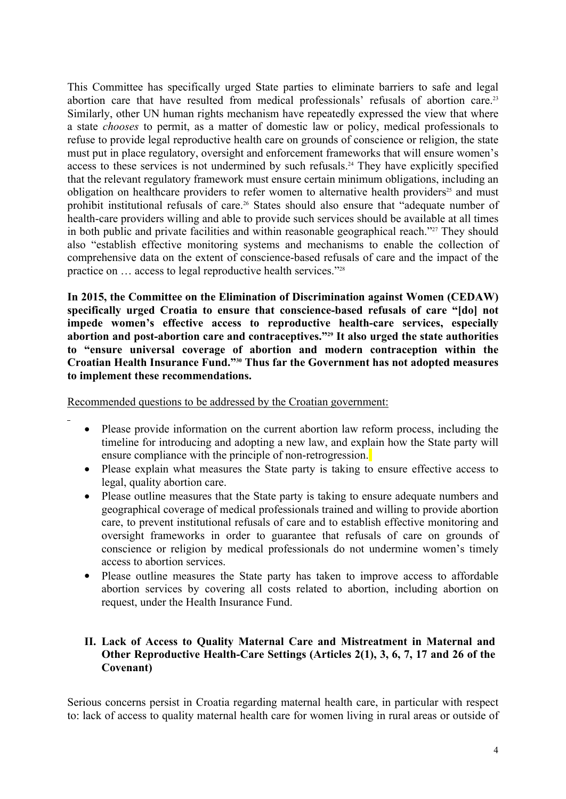This Committee has specifically urged State parties to eliminate barriers to safe and legal abortion care that have resulted from medical professionals' refusals of abortion care.<sup>23</sup> Similarly, other UN human rights mechanism have repeatedly expressed the view that where a state *chooses* to permit, as a matter of domestic law or policy, medical professionals to refuse to provide legal reproductive health care on grounds of conscience or religion, the state must put in place regulatory, oversight and enforcement frameworks that will ensure women's access to these services is not undermined by such refusals.<sup>24</sup> They have explicitly specified that the relevant regulatory framework must ensure certain minimum obligations, including an obligation on healthcare providers to refer women to alternative health providers<sup>25</sup> and must prohibit institutional refusals of care.<sup>26</sup> States should also ensure that "adequate number of health-care providers willing and able to provide such services should be available at all times in both public and private facilities and within reasonable geographical reach."<sup>27</sup> They should also "establish effective monitoring systems and mechanisms to enable the collection of comprehensive data on the extent of conscience-based refusals of care and the impact of the practice on … access to legal reproductive health services."<sup>28</sup>

**In 2015, the Committee on the Elimination of Discrimination against Women (CEDAW) specifically urged Croatia to ensure that conscience-based refusals of care "[do] not impede women's effective access to reproductive health-care services, especially abortion and post-abortion care and contraceptives."<sup>29</sup> It also urged the state authorities to "ensure universal coverage of abortion and modern contraception within the Croatian Health Insurance Fund."<sup>30</sup> Thus far the Government has not adopted measures to implement these recommendations.**

Recommended questions to be addressed by the Croatian government:

- Please provide information on the current abortion law reform process, including the timeline for introducing and adopting a new law, and explain how the State party will ensure compliance with the principle of non-retrogression.
- Please explain what measures the State party is taking to ensure effective access to legal, quality abortion care.
- Please outline measures that the State party is taking to ensure adequate numbers and geographical coverage of medical professionals trained and willing to provide abortion care, to prevent institutional refusals of care and to establish effective monitoring and oversight frameworks in order to guarantee that refusals of care on grounds of conscience or religion by medical professionals do not undermine women's timely access to abortion services.
- Please outline measures the State party has taken to improve access to affordable abortion services by covering all costs related to abortion, including abortion on request, under the Health Insurance Fund.

### **II. Lack of Access to Quality Maternal Care and Mistreatment in Maternal and Other Reproductive Health-Care Settings (Articles 2(1), 3, 6, 7, 17 and 26 of the Covenant)**

Serious concerns persist in Croatia regarding maternal health care, in particular with respect to: lack of access to quality maternal health care for women living in rural areas or outside of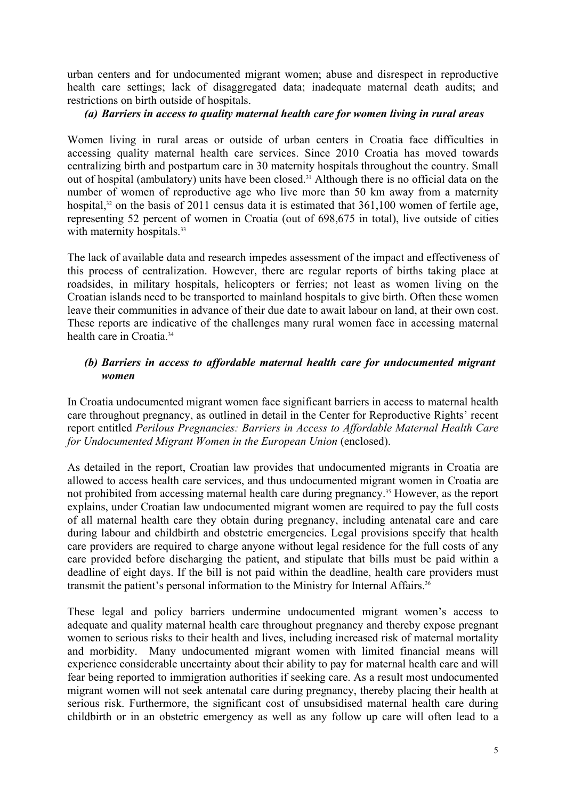urban centers and for undocumented migrant women; abuse and disrespect in reproductive health care settings; lack of disaggregated data; inadequate maternal death audits; and restrictions on birth outside of hospitals.

#### *(a) Barriers in access to quality maternal health care for women living in rural areas*

Women living in rural areas or outside of urban centers in Croatia face difficulties in accessing quality maternal health care services. Since 2010 Croatia has moved towards centralizing birth and postpartum care in 30 maternity hospitals throughout the country. Small out of hospital (ambulatory) units have been closed.<sup>31</sup> Although there is no official data on the number of women of reproductive age who live more than 50 km away from a maternity hospital, $32$  on the basis of 2011 census data it is estimated that 361,100 women of fertile age, representing 52 percent of women in Croatia (out of 698,675 in total), live outside of cities with maternity hospitals.<sup>33</sup>

The lack of available data and research impedes assessment of the impact and effectiveness of this process of centralization. However, there are regular reports of births taking place at roadsides, in military hospitals, helicopters or ferries; not least as women living on the Croatian islands need to be transported to mainland hospitals to give birth. Often these women leave their communities in advance of their due date to await labour on land, at their own cost. These reports are indicative of the challenges many rural women face in accessing maternal health care in Croatia<sup>34</sup>

## *(b) Barriers in access to affordable maternal health care for undocumented migrant women*

In Croatia undocumented migrant women face significant barriers in access to maternal health care throughout pregnancy, as outlined in detail in the Center for Reproductive Rights' recent report entitled *Perilous Pregnancies: Barriers in Access to Affordable Maternal Health Care for Undocumented Migrant Women in the European Union* (enclosed).

As detailed in the report, Croatian law provides that undocumented migrants in Croatia are allowed to access health care services, and thus undocumented migrant women in Croatia are not prohibited from accessing maternal health care during pregnancy.<sup>35</sup> However, as the report explains, under Croatian law undocumented migrant women are required to pay the full costs of all maternal health care they obtain during pregnancy, including antenatal care and care during labour and childbirth and obstetric emergencies. Legal provisions specify that health care providers are required to charge anyone without legal residence for the full costs of any care provided before discharging the patient, and stipulate that bills must be paid within a deadline of eight days. If the bill is not paid within the deadline, health care providers must transmit the patient's personal information to the Ministry for Internal Affairs.<sup>36</sup>

These legal and policy barriers undermine undocumented migrant women's access to adequate and quality maternal health care throughout pregnancy and thereby expose pregnant women to serious risks to their health and lives, including increased risk of maternal mortality and morbidity. Many undocumented migrant women with limited financial means will experience considerable uncertainty about their ability to pay for maternal health care and will fear being reported to immigration authorities if seeking care. As a result most undocumented migrant women will not seek antenatal care during pregnancy, thereby placing their health at serious risk. Furthermore, the significant cost of unsubsidised maternal health care during childbirth or in an obstetric emergency as well as any follow up care will often lead to a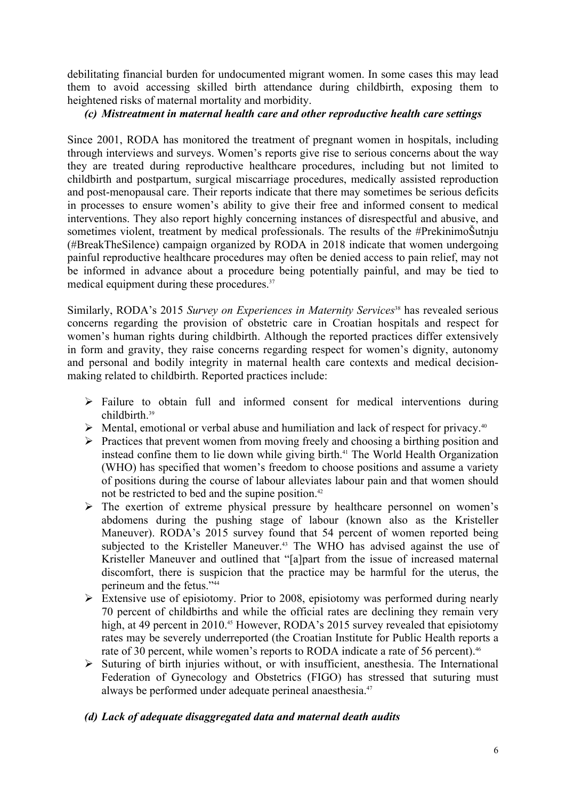debilitating financial burden for undocumented migrant women. In some cases this may lead them to avoid accessing skilled birth attendance during childbirth, exposing them to heightened risks of maternal mortality and morbidity.

#### *(c) Mistreatment in maternal health care and other reproductive health care settings*

Since 2001, RODA has monitored the treatment of pregnant women in hospitals, including through interviews and surveys. Women's reports give rise to serious concerns about the way they are treated during reproductive healthcare procedures, including but not limited to childbirth and postpartum, surgical miscarriage procedures, medically assisted reproduction and post-menopausal care. Their reports indicate that there may sometimes be serious deficits in processes to ensure women's ability to give their free and informed consent to medical interventions. They also report highly concerning instances of disrespectful and abusive, and sometimes violent, treatment by medical professionals. The results of the #PrekinimoŠutnju (#BreakTheSilence) campaign organized by RODA in 2018 indicate that women undergoing painful reproductive healthcare procedures may often be denied access to pain relief, may not be informed in advance about a procedure being potentially painful, and may be tied to medical equipment during these procedures.<sup>37</sup>

Similarly, RODA's 2015 *Survey on Experiences in Maternity Services*<sup>38</sup> has revealed serious concerns regarding the provision of obstetric care in Croatian hospitals and respect for women's human rights during childbirth. Although the reported practices differ extensively in form and gravity, they raise concerns regarding respect for women's dignity, autonomy and personal and bodily integrity in maternal health care contexts and medical decision making related to childbirth. Reported practices include:

- $\triangleright$  Failure to obtain full and informed consent for medical interventions during childbirth. 39
- $\triangleright$  Mental, emotional or verbal abuse and humiliation and lack of respect for privacy.<sup>40</sup>
- $\triangleright$  Practices that prevent women from moving freely and choosing a birthing position and instead confine them to lie down while giving birth.<sup>41</sup> The World Health Organization (WHO) has specified that women's freedom to choose positions and assume a variety of positions during the course of labour alleviates labour pain and that women should not be restricted to bed and the supine position.<sup>42</sup>
- $\triangleright$  The exertion of extreme physical pressure by healthcare personnel on women's abdomens during the pushing stage of labour (known also as the Kristeller Maneuver). RODA's 2015 survey found that 54 percent of women reported being subjected to the Kristeller Maneuver.<sup>43</sup> The WHO has advised against the use of Kristeller Maneuver and outlined that "[a]part from the issue of increased maternal discomfort, there is suspicion that the practice may be harmful for the uterus, the perineum and the fetus."<sup>44</sup>
- Extensive use of episiotomy. Prior to 2008, episiotomy was performed during nearly 70 percent of childbirths and while the official rates are declining they remain very high, at 49 percent in 2010.<sup>45</sup> However, RODA's 2015 survey revealed that episiotomy rates may be severely underreported (the Croatian Institute for Public Health reports a rate of 30 percent, while women's reports to RODA indicate a rate of 56 percent).<sup>46</sup>
- $\triangleright$  Suturing of birth injuries without, or with insufficient, anesthesia. The International Federation of Gynecology and Obstetrics (FIGO) has stressed that suturing must always be performed under adequate perineal anaesthesia.<sup>47</sup>

### *(d) Lack of adequate disaggregated data and maternal death audits*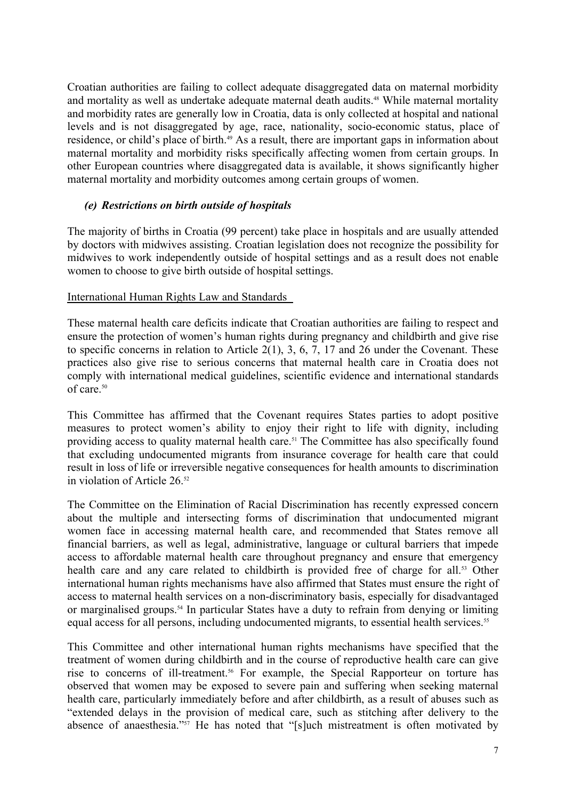Croatian authorities are failing to collect adequate disaggregated data on maternal morbidity and mortality as well as undertake adequate maternal death audits.<sup>48</sup> While maternal mortality and morbidity rates are generally low in Croatia, data is only collected at hospital and national levels and is not disaggregated by age, race, nationality, socio-economic status, place of residence, or child's place of birth.<sup>49</sup> As a result, there are important gaps in information about maternal mortality and morbidity risks specifically affecting women from certain groups. In other European countries where disaggregated data is available, it shows significantly higher maternal mortality and morbidity outcomes among certain groups of women.

#### *(e) Restrictions on birth outside of hospitals*

The majority of births in Croatia (99 percent) take place in hospitals and are usually attended by doctors with midwives assisting. Croatian legislation does not recognize the possibility for midwives to work independently outside of hospital settings and as a result does not enable women to choose to give birth outside of hospital settings.

#### International Human Rights Law and Standards

These maternal health care deficits indicate that Croatian authorities are failing to respect and ensure the protection of women's human rights during pregnancy and childbirth and give rise to specific concerns in relation to Article 2(1), 3, 6, 7, 17 and 26 under the Covenant. These practices also give rise to serious concerns that maternal health care in Croatia does not comply with international medical guidelines, scientific evidence and international standards of care.<sup>50</sup>

This Committee has affirmed that the Covenant requires States parties to adopt positive measures to protect women's ability to enjoy their right to life with dignity, including providing access to quality maternal health care.<sup>51</sup> The Committee has also specifically found that excluding undocumented migrants from insurance coverage for health care that could result in loss of life or irreversible negative consequences for health amounts to discrimination in violation of Article 26.<sup>52</sup>

The Committee on the Elimination of Racial Discrimination has recently expressed concern about the multiple and intersecting forms of discrimination that undocumented migrant women face in accessing maternal health care, and recommended that States remove all financial barriers, as well as legal, administrative, language or cultural barriers that impede access to affordable maternal health care throughout pregnancy and ensure that emergency health care and any care related to childbirth is provided free of charge for all.<sup>53</sup> Other international human rights mechanisms have also affirmed that States must ensure the right of access to maternal health services on a non-discriminatory basis, especially for disadvantaged or marginalised groups.<sup>54</sup> In particular States have a duty to refrain from denying or limiting equal access for all persons, including undocumented migrants, to essential health services.<sup>55</sup>

This Committee and other international human rights mechanisms have specified that the treatment of women during childbirth and in the course of reproductive health care can give rise to concerns of ill-treatment.<sup>56</sup> For example, the Special Rapporteur on torture has observed that women may be exposed to severe pain and suffering when seeking maternal health care, particularly immediately before and after childbirth, as a result of abuses such as "extended delays in the provision of medical care, such as stitching after delivery to the absence of anaesthesia."<sup>57</sup> He has noted that "[s]uch mistreatment is often motivated by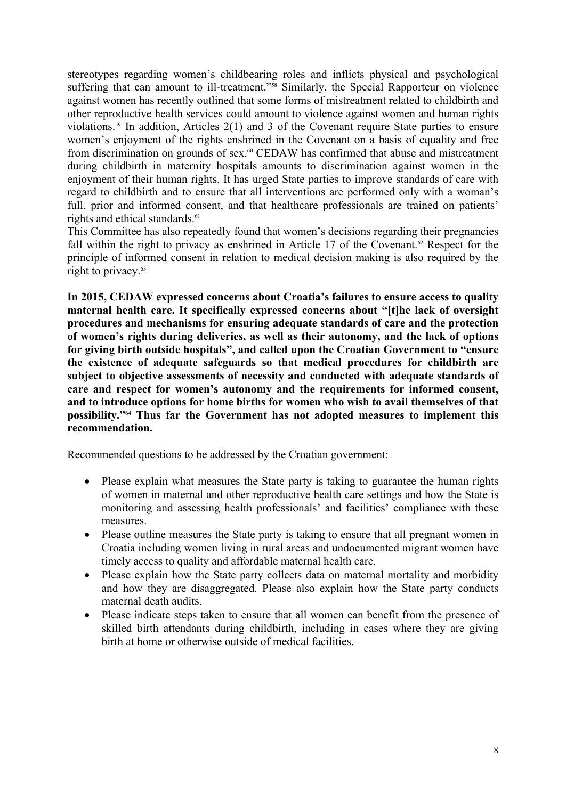stereotypes regarding women's childbearing roles and inflicts physical and psychological suffering that can amount to ill-treatment."<sup>58</sup> Similarly, the Special Rapporteur on violence against women has recently outlined that some forms of mistreatment related to childbirth and other reproductive health services could amount to violence against women and human rights violations.<sup>59</sup> In addition, Articles  $2(1)$  and 3 of the Covenant require State parties to ensure women's enjoyment of the rights enshrined in the Covenant on a basis of equality and free from discrimination on grounds of sex.<sup>60</sup> CEDAW has confirmed that abuse and mistreatment during childbirth in maternity hospitals amounts to discrimination against women in the enjoyment of their human rights. It has urged State parties to improve standards of care with regard to childbirth and to ensure that all interventions are performed only with a woman's full, prior and informed consent, and that healthcare professionals are trained on patients' rights and ethical standards.<sup>61</sup>

This Committee has also repeatedly found that women's decisions regarding their pregnancies fall within the right to privacy as enshrined in Article 17 of the Covenant.<sup>62</sup> Respect for the principle of informed consent in relation to medical decision making is also required by the right to privacy.<sup>63</sup>

**In 2015, CEDAW expressed concerns about Croatia's failures to ensure access to quality maternal health care. It specifically expressed concerns about "[t]he lack of oversight procedures and mechanisms for ensuring adequate standards of care and the protection of women's rights during deliveries, as well as their autonomy, and the lack of options for giving birth outside hospitals", and called upon the Croatian Government to "ensure the existence of adequate safeguards so that medical procedures for childbirth are subject to objective assessments of necessity and conducted with adequate standards of care and respect for women's autonomy and the requirements for informed consent, and to introduce options for home births for women who wish to avail themselves of that possibility."<sup>64</sup> Thus far the Government has not adopted measures to implement this recommendation.**

Recommended questions to be addressed by the Croatian government:

- Please explain what measures the State party is taking to guarantee the human rights of women in maternal and other reproductive health care settings and how the State is monitoring and assessing health professionals' and facilities' compliance with these measures.
- Please outline measures the State party is taking to ensure that all pregnant women in Croatia including women living in rural areas and undocumented migrant women have timely access to quality and affordable maternal health care.
- Please explain how the State party collects data on maternal mortality and morbidity and how they are disaggregated. Please also explain how the State party conducts maternal death audits.
- Please indicate steps taken to ensure that all women can benefit from the presence of skilled birth attendants during childbirth, including in cases where they are giving birth at home or otherwise outside of medical facilities.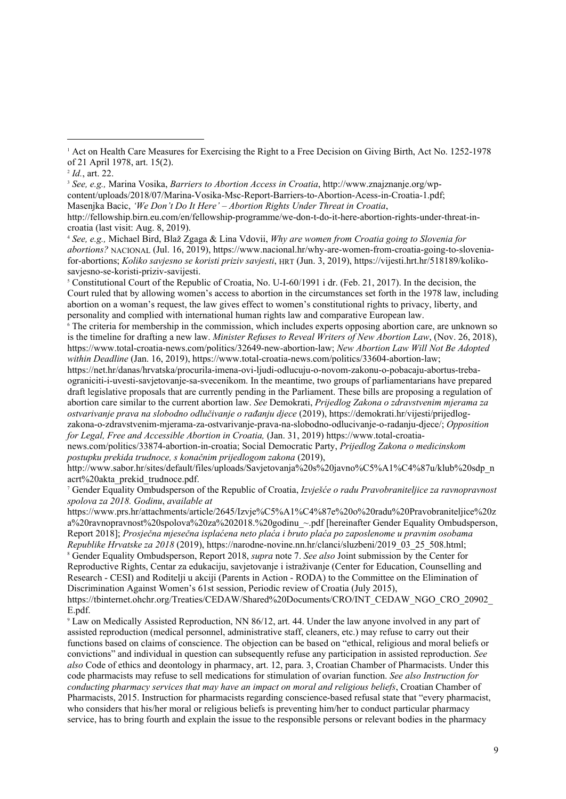5 Constitutional Court of the Republic of Croatia, No. U-I-60/1991 i dr. (Feb. 21, 2017). In the decision, the Court ruled that by allowing women's access to abortion in the circumstances set forth in the 1978 law, including abortion on a woman's request, the law gives effect to women's constitutional rights to privacy, liberty, and personality and complied with international human rights law and comparative European law.

6 The criteria for membership in the commission, which includes experts opposing abortion care, are unknown so is the timeline for drafting a new law. *Minister Refuses to Reveal Writers of New Abortion Law*, (Nov. 26, 2018), https://www.total-croatia-news.com/politics/32649-new-abortion-law; *New Abortion Law Will Not Be Adopted within Deadline* (Jan. 16, 2019), https://www.total-croatia-news.com/politics/33604-abortion-law;

https://net.hr/danas/hrvatska/procurila-imena-ovi-ljudi-odlucuju-o-novom-zakonu-o-pobacaju-abortus-trebaograniciti-i-uvesti-savjetovanje-sa-svecenikom. In the meantime, two groups of parliamentarians have prepared draft legislative proposals that are currently pending in the Parliament. These bills are proposing a regulation of abortion care similar to the current abortion law. *See* Demokrati, *Prijedlog Zakona o zdravstvenim mjerama za ostvarivanje prava na slobodno odlučivanje o rađanju djece* (2019), https://demokrati.hr/vijesti/prijedlogzakona-o-zdravstvenim-mjerama-za-ostvarivanje-prava-na-slobodno-odlucivanje-o-radanju-djece/; *Opposition for Legal, Free and Accessible Abortion in Croatia,* (Jan. 31, 2019) https://www.total-croatia-

news.com/politics/33874-abortion-in-croatia; Social Democratic Party, *Prijedlog Zakona o medicinskom postupku prekida trudnoce, s konačnim prijedlogom zakona* (2019),

http://www.sabor.hr/sites/default/files/uploads/Savjetovanja%20s%20javno%C5%A1%C4%87u/klub%20sdp\_n acrt%20akta\_prekid\_trudnoce.pdf.

7 Gender Equality Ombudsperson of the Republic of Croatia, *Izvješće o radu Pravobraniteljice za ravnopravnost spolova za 2018. Godinu*, *available at*

https://www.prs.hr/attachments/article/2645/Izvje%C5%A1%C4%87e%20o%20radu%20Pravobraniteljice%20z a%20ravnopravnost%20spolova%20za%202018.%20godinu ~.pdf [hereinafter Gender Equality Ombudsperson, Report 2018]; *Prosječna mjesečna isplaćena neto plaća i bruto plaća po zaposlenome u pravnim osobama Republike Hrvatske za 2018* (2019), https://narodne-novine.nn.hr/clanci/sluzbeni/2019\_03\_25\_508.html;

8 Gender Equality Ombudsperson, Report 2018, *supra* note 7. *See also* Joint submission by the Center for Reproductive Rights, Centar za edukaciju, savjetovanje i istraživanje (Center for Education, Counselling and Research - CESI) and Roditelji u akciji (Parents in Action - RODA) to the Committee on the Elimination of Discrimination Against Women's 61st session, Periodic review of Croatia (July 2015),

https://tbinternet.ohchr.org/Treaties/CEDAW/Shared%20Documents/CRO/INT\_CEDAW\_NGO\_CRO\_20902\_ E.pdf.

9 Law on Medically Assisted Reproduction, NN 86/12, art. 44. Under the law anyone involved in any part of assisted reproduction (medical personnel, administrative staff, cleaners, etc.) may refuse to carry out their functions based on claims of conscience. The objection can be based on "ethical, religious and moral beliefs or convictions" and individual in question can subsequently refuse any participation in assisted reproduction. *See also* Code of ethics and deontology in pharmacy, art. 12, para. 3, Croatian Chamber of Pharmacists. Under this code pharmacists may refuse to sell medications for stimulation of ovarian function. *See also Instruction for conducting pharmacy services that may have an impact on moral and religious beliefs*, Croatian Chamber of Pharmacists, 2015. Instruction for pharmacists regarding conscience-based refusal state that "every pharmacist, who considers that his/her moral or religious beliefs is preventing him/her to conduct particular pharmacy service, has to bring fourth and explain the issue to the responsible persons or relevant bodies in the pharmacy

<sup>&</sup>lt;sup>1</sup> Act on Health Care Measures for Exercising the Right to a Free Decision on Giving Birth, Act No. 1252-1978 of 21 April 1978, art. 15(2).

<sup>2</sup> *Id.*, art. 22.

<sup>3</sup> *See, e.g.,* Marina Vosika, *Barriers to Abortion Access in Croatia*, [http://www.znajznanje.org/wp](http://www.znajznanje.org/wp-content/uploads/2018/07/Marina-Vosika-Msc-Report-Barriers-to-Abortion-Acess-in-Croatia-1.pdf)[content/uploads/2018/07/Marina-Vosika-Msc-Report-Barriers-to-Abortion-Acess-in-Croatia-1.pdf](http://www.znajznanje.org/wp-content/uploads/2018/07/Marina-Vosika-Msc-Report-Barriers-to-Abortion-Acess-in-Croatia-1.pdf);<br>Masenjka Bacic, 'We Don't Do It Here' – Abortion Rights Under Threat in Croatia,

http://fellowship.birn.eu.com/en/fellowship-programme/we-don-t-do-it-here-abortion-rights-under-threat-incroatia (last visit: Aug. 8, 2019).

<sup>4</sup> *See, e.g.,* Michael Bird, Blaž Zgaga & Lina Vdovii, *Why are women from Croatia going to Slovenia for abortions?* NACIONAL (Jul. 16, 2019), https://www.nacional.hr/why-are-women-from-croatia-going-to-sloveniafor-abortions; *Koliko savjesno se koristi priziv savjesti*, HRT (Jun. 3, 2019), [https://vijesti.hrt.hr/518189/koliko](https://vijesti.hrt.hr/518189/koliko-savjesno-se-koristi-priziv-savijesti)[savjesno-se-koristi-priziv-savijesti.](https://vijesti.hrt.hr/518189/koliko-savjesno-se-koristi-priziv-savijesti)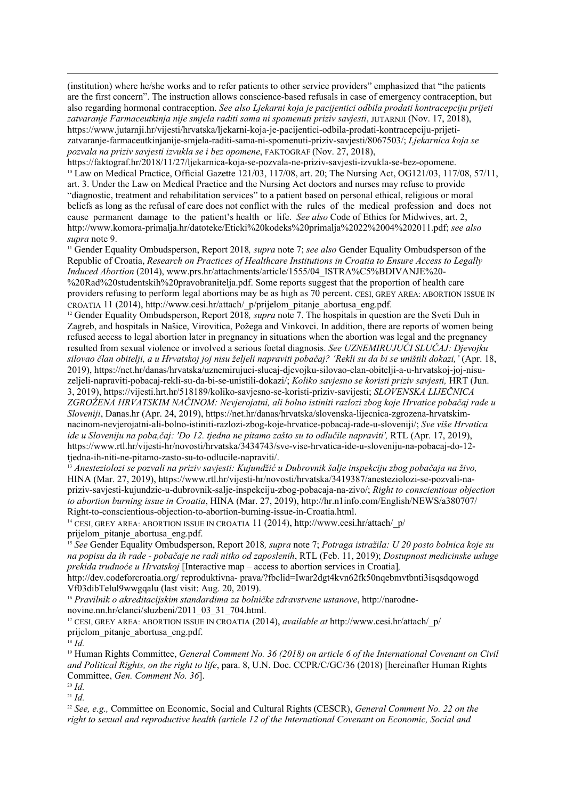(institution) where he/she works and to refer patients to other service providers" emphasized that "the patients are the first concern". The instruction allows conscience-based refusals in case of emergency contraception, but also regarding hormonal contraception. *See also Ljekarni koja je pacijentici odbila prodati kontracepciju prijeti zatvaranje Farmaceutkinja nije smjela raditi sama ni spomenuti priziv savjesti*, JUTARNJI (Nov. 17, 2018), [https://www.jutarnji.hr/vijesti/hrvatska/ljekarni-koja-je-pacijentici-odbila-prodati-kontracepciju-prijeti](https://www.jutarnji.hr/vijesti/hrvatska/ljekarni-koja-je-pacijentici-odbila-prodati-kontracepciju-prijeti-zatvaranje-farmaceutkinjanije-smjela-raditi-sama-ni-spomenuti-priziv-savjesti/8067503/)[zatvaranje-farmaceutkinjanije-smjela-raditi-sama-ni-spomenuti-priziv-savjesti/8067503/;](https://www.jutarnji.hr/vijesti/hrvatska/ljekarni-koja-je-pacijentici-odbila-prodati-kontracepciju-prijeti-zatvaranje-farmaceutkinjanije-smjela-raditi-sama-ni-spomenuti-priziv-savjesti/8067503/) *Ljekarnica koja se pozvala na priziv savjesti izvukla se i bez opomene*, FAKTOGRAF (Nov. 27, 2018),

https://faktograf.hr/2018/11/27/ljekarnica-koja-se-pozvala-ne-priziv-savjesti-izvukla-se-bez-opomene. <sup>10</sup> Law on Medical Practice, Official Gazette 121/03, 117/08, art. 20; The Nursing Act, OG121/03, 117/08, 57/11, art. 3. Under the Law on Medical Practice and the Nursing Act doctors and nurses may refuse to provide "diagnostic, treatment and rehabilitation services" to a patient based on personal ethical, religious or moral beliefs as long as the refusal of care does not conflict with the rules of the medical profession and does not cause permanent damage to the patient's health or life. *See also* Code of Ethics for Midwives, art. 2, http://www.komora-primalja.hr/datoteke/Eticki%20kodeks%20primalja%2022%2004%202011.pdf; *see also supra* note 9.

<sup>11</sup> Gender Equality Ombudsperson, Report 2018*, supra* note 7; *see also* Gender Equality Ombudsperson of the Republic of Croatia, *Research on Practices of Healthcare Institutions in Croatia to Ensure Access to Legally Induced Abortion* (2014), www.prs.hr/attachments/article/1555/04\_ISTRA%C5%BDIVANJE%20- %20Rad%20studentskih%20pravobranitelja.pdf. Some reports suggest that the proportion of health care providers refusing to perform legal abortions may be as high as 70 percent. CESI, GREY AREA: ABORTION ISSUE IN CROATIA 11 (2014), http://www.cesi.hr/attach/\_p/prijelom\_pitanje\_abortusa\_eng.pdf.

<sup>12</sup> Gender Equality Ombudsperson, Report 2018*, supra* note 7. The hospitals in question are the Sveti Duh in Zagreb, and hospitals in Našice, Virovitica, Požega and Vinkovci. In addition, there are reports of women being refused access to legal abortion later in pregnancy in situations when the abortion was legal and the pregnancy resulted from sexual violence or involved a serious foetal diagnosis. *See UZNEMIRUJUĆI SLUČAJ: Djevojku silovao član obitelji, a u Hrvatskoj joj nisu željeli napraviti pobačaj? 'Rekli su da bi se uništili dokazi,'* (Apr. 18, 2019), https://net.hr/danas/hrvatska/uznemirujuci-slucaj-djevojku-silovao-clan-obitelji-a-u-hrvatskoj-joj-nisuzeljeli-napraviti-pobacaj-rekli-su-da-bi-se-unistili-dokazi/; *Koliko savjesno se koristi priziv savjesti,* HRT (Jun. 3, 2019),<https://vijesti.hrt.hr/518189/koliko-savjesno-se-koristi-priziv-savijesti>; *SLOVENSKA LIJEČNICA ZGROŽENA HRVATSKIM NAČINOM: Nevjerojatni, ali bolno istiniti razlozi zbog koje Hrvatice pobačaj rade u Sloveniji*, Danas.hr (Apr. 24, 2019), [https://net.hr/danas/hrvatska/slovenska-lijecnica-zgrozena-hrvatskim](https://net.hr/danas/hrvatska/slovenska-lijecnica-zgrozena-hrvatskim-nacinom-nevjerojatni-ali-bolno-istiniti-razlozi-zbog-koje-hrvatice-pobacaj-rade-u-sloveniji/)[nacinom-nevjerojatni-ali-bolno-istiniti-razlozi-zbog-koje-hrvatice-pobacaj-rade-u-sloveniji/;](https://net.hr/danas/hrvatska/slovenska-lijecnica-zgrozena-hrvatskim-nacinom-nevjerojatni-ali-bolno-istiniti-razlozi-zbog-koje-hrvatice-pobacaj-rade-u-sloveniji/) *Sve više Hrvatica ide u Sloveniju na poba,čaj: 'Do 12. tjedna ne pitamo zašto su to odlučile napraviti',* RTL (Apr. 17, 2019), [https://www.rtl.hr/vijesti-hr/novosti/hrvatska/3434743/sve-vise-hrvatica-ide-u-sloveniju-na-pobacaj-do-12](https://www.rtl.hr/vijesti-hr/novosti/hrvatska/3434743/sve-vise-hrvatica-ide-u-sloveniju-na-pobacaj-do-12-tjedna-ih-niti-ne-pitamo-zasto-su-to-odlucile-napraviti/) [tjedna-ih-niti-ne-pitamo-zasto-su-to-odlucile-napraviti/](https://www.rtl.hr/vijesti-hr/novosti/hrvatska/3434743/sve-vise-hrvatica-ide-u-sloveniju-na-pobacaj-do-12-tjedna-ih-niti-ne-pitamo-zasto-su-to-odlucile-napraviti/).

<sup>13</sup> *Anesteziolozi se pozvali na priziv savjesti: Kujundžić u Dubrovnik šalje inspekciju zbog pobačaja na živo,* HINA (Mar. 27, 2019), https://www.rtl.hr/vijesti-hr/novosti/hrvatska/3419387/anesteziolozi-se-pozvali-napriziv-savjesti-kujundzic-u-dubrovnik-salje-inspekciju-zbog-pobacaja-na-zivo/; *Right to conscientious objection to abortion burning issue in Croatia*, HINA (Mar. 27, 2019), <http://hr.n1info.com/English/NEWS/a380707/> Right-to-conscientious-objection-to-abortion-burning-issue-in-Croatia.html.

<sup>14</sup> CESI, GREY AREA: ABORTION ISSUE IN CROATIA 11 (2014), http://www.cesi.hr/attach/ $p/$ prijelom\_pitanje\_abortusa\_eng.pdf.

<sup>15</sup> *See* Gender Equality Ombudsperson, Report 2018*, supra* note 7; *Potraga istražila: U 20 posto bolnica koje su na popisu da ih rade - pobačaje ne radi nitko od zaposlenih*, RTL (Feb. 11, 2019); *Dostupnost medicinske usluge prekida trudnoće u Hrvatskoj* [Interactive map – access to abortion services in Croatia]*,* 

<http://dev.codeforcroatia.org/> reproduktivna- prava/?fbclid=Iwar2dgt4kvn62fk50nqebmvtbnti3isqsdqowogd Vf03dibTelul9wwgqalu (last visit: Aug. 20, 2019).

<sup>16</sup> *Pravilnik o akreditacijskim standardima za bolničke zdravstvene ustanove*, http://narodnenovine.nn.hr/clanci/sluzbeni/2011\_03\_31\_704.html.

<sup>17</sup> CESI, GREY AREA: ABORTION ISSUE IN CROATIA (2014), *available at* [http://www.cesi.hr/attach/\\_p/](http://www.cesi.hr/attach/_p/) prijelom\_pitanje\_abortusa\_eng.pdf.

<sup>18</sup> *Id.*

<sup>19</sup> Human Rights Committee, *General Comment No. 36 (2018) on article 6 of the International Covenant on Civil and Political Rights, on the right to life*, para. 8, U.N. Doc. CCPR/C/GC/36 (2018) [hereinafter Human Rights Committee, *Gen. Comment No. 36*].

<sup>20</sup> *Id.*

<sup>21</sup> *Id.*

<sup>22</sup> *See, e.g.,* Committee on Economic, Social and Cultural Rights (CESCR), *General Comment No. 22 on the right to sexual and reproductive health (article 12 of the International Covenant on Economic, Social and*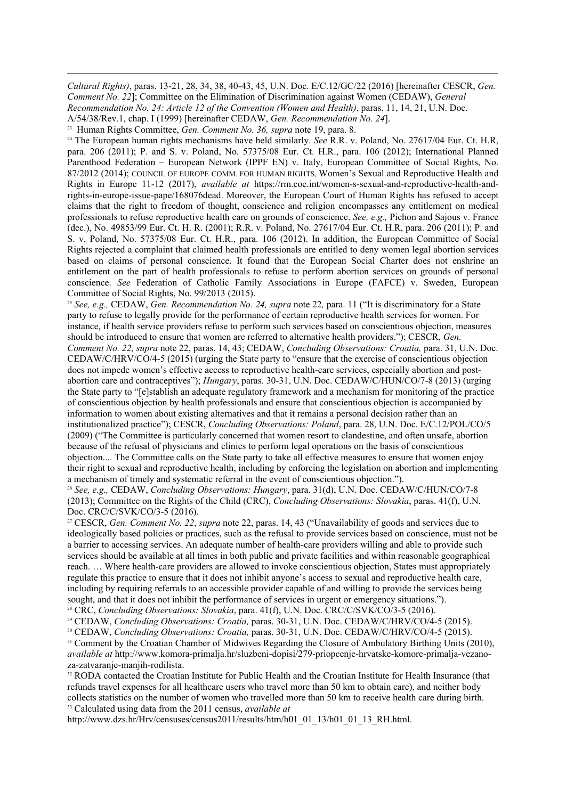*Cultural Rights)*, paras. 13-21, 28, 34, 38, 40-43, 45, U.N. Doc. E/C.12/GC/22 (2016) [hereinafter CESCR, *Gen. Comment No. 22*]; Committee on the Elimination of Discrimination against Women (CEDAW), *General* 

*Recommendation No. 24: Article 12 of the Convention (Women and Health)*, paras. 11, 14, 21, U.N. Doc.

A/54/38/Rev.1, chap. I (1999) [hereinafter CEDAW, *Gen. Recommendation No. 24*].

<sup>23</sup> Human Rights Committee, *Gen. Comment No. 36, supra* note 19, para. 8.

<sup>24</sup> The European human rights mechanisms have held similarly. *See* R.R. v. Poland, No. 27617/04 Eur. Ct. H.R, para. 206 (2011); P. and S. v. Poland, No. 57375/08 Eur. Ct. H.R., para. 106 (2012); International Planned Parenthood Federation – European Network (IPPF EN) v. Italy, European Committee of Social Rights, No. 87/2012 (2014); COUNCIL OF EUROPE COMM. FOR HUMAN RIGHTS, Women's Sexual and Reproductive Health and Rights in Europe 11-12 (2017), *available at* https://rm.coe.int/women-s-sexual-and-reproductive-health-andrights-in-europe-issue-pape/168076dead. Moreover, the European Court of Human Rights has refused to accept claims that the right to freedom of thought, conscience and religion encompasses any entitlement on medical professionals to refuse reproductive health care on grounds of conscience. *See, e.g.,* Pichon and Sajous v. France (dec.), No. 49853/99 Eur. Ct. H. R. (2001); R.R. v. Poland, No. 27617/04 Eur. Ct. H.R, para. 206 (2011); P. and S. v. Poland, No. 57375/08 Eur. Ct. H.R., para. 106 (2012). In addition, the European Committee of Social Rights rejected a complaint that claimed health professionals are entitled to deny women legal abortion services based on claims of personal conscience. It found that the European Social Charter does not enshrine an entitlement on the part of health professionals to refuse to perform abortion services on grounds of personal conscience. *See* Federation of Catholic Family Associations in Europe (FAFCE) v. Sweden, European Committee of Social Rights, No. 99/2013 (2015).

<sup>25</sup> See, e.g., CEDAW, *Gen. Recommendation No. 24, supra* note 22, para. 11 ("It is discriminatory for a State party to refuse to legally provide for the performance of certain reproductive health services for women. For instance, if health service providers refuse to perform such services based on conscientious objection, measures should be introduced to ensure that women are referred to alternative health providers."); CESCR, *Gen. Comment No. 22, supra* note 22, paras. 14, 43; CEDAW, *Concluding Observations: Croatia,* para. 31, U.N. Doc. CEDAW/C/HRV/CO/4-5 (2015) (urging the State party to "ensure that the exercise of conscientious objection does not impede women's effective access to reproductive health-care services, especially abortion and postabortion care and contraceptives"); *Hungary*, paras. 30-31, U.N. Doc. CEDAW/C/HUN/CO/7-8 (2013) (urging the State party to "[e]stablish an adequate regulatory framework and a mechanism for monitoring of the practice of conscientious objection by health professionals and ensure that conscientious objection is accompanied by information to women about existing alternatives and that it remains a personal decision rather than an institutionalized practice"); CESCR, *Concluding Observations: Poland*, para. 28, U.N. Doc. E/C.12/POL/CO/5 (2009) ("The Committee is particularly concerned that women resort to clandestine, and often unsafe, abortion because of the refusal of physicians and clinics to perform legal operations on the basis of conscientious objection.... The Committee calls on the State party to take all effective measures to ensure that women enjoy their right to sexual and reproductive health, including by enforcing the legislation on abortion and implementing a mechanism of timely and systematic referral in the event of conscientious objection.").

<sup>26</sup> *See, e.g.,* CEDAW, *Concluding Observations: Hungary*, para. 31(d), U.N. Doc. CEDAW/C/HUN/CO/7-8 (2013); Committee on the Rights of the Child (CRC), *Concluding Observations: Slovakia*, paras. 41(f), U.N. Doc. CRC/C/SVK/CO/3-5 (2016).

<sup>27</sup> CESCR, *Gen. Comment No. 22*, *supra* note 22, paras. 14, 43 ("Unavailability of goods and services due to ideologically based policies or practices, such as the refusal to provide services based on conscience, must not be a barrier to accessing services. An adequate number of health-care providers willing and able to provide such services should be available at all times in both public and private facilities and within reasonable geographical reach. … Where health-care providers are allowed to invoke conscientious objection, States must appropriately regulate this practice to ensure that it does not inhibit anyone's access to sexual and reproductive health care, including by requiring referrals to an accessible provider capable of and willing to provide the services being sought, and that it does not inhibit the performance of services in urgent or emergency situations."). <sup>28</sup> CRC, *Concluding Observations: Slovakia*, para. 41(f), U.N. Doc. CRC/C/SVK/CO/3-5 (2016).

<sup>30</sup> CEDAW, *Concluding Observations: Croatia,* paras. 30-31, U.N. Doc. CEDAW/C/HRV/CO/4-5 (2015).

<sup>31</sup> Comment by the Croatian Chamber of Midwives Regarding the Closure of Ambulatory Birthing Units (2010), *available at* [http://www.komora-primalja.hr/sluzbeni-dopisi/279-priopcenje-hrvatske-komore-primalja-vezano](http://www.komora-primalja.hr/sluzbeni-dopisi/279-priopcenje-hrvatske-komore-primalja-vezano-za-zatvaranje-manjih-rodilista)[za-zatvaranje-manjih-rodilista](http://www.komora-primalja.hr/sluzbeni-dopisi/279-priopcenje-hrvatske-komore-primalja-vezano-za-zatvaranje-manjih-rodilista).

<sup>32</sup> RODA contacted the Croatian Institute for Public Health and the Croatian Institute for Health Insurance (that refunds travel expenses for all healthcare users who travel more than 50 km to obtain care), and neither body collects statistics on the number of women who travelled more than 50 km to receive health care during birth. <sup>33</sup> Calculated using data from the 2011 census, *available a[t](http://www.dzs.hr/Hrv/censuses/census2011/results/htm/h01_01_13/h01_01_13_RH.html)*

[http://www.dzs.hr/Hrv/censuses/census2011/results/htm/h01\\_01\\_13/h01\\_01\\_13\\_RH.html.](http://www.dzs.hr/Hrv/censuses/census2011/results/htm/h01_01_13/h01_01_13_RH.html)

<sup>29</sup> CEDAW, *Concluding Observations: Croatia,* paras. 30-31, U.N. Doc. CEDAW/C/HRV/CO/4-5 (2015).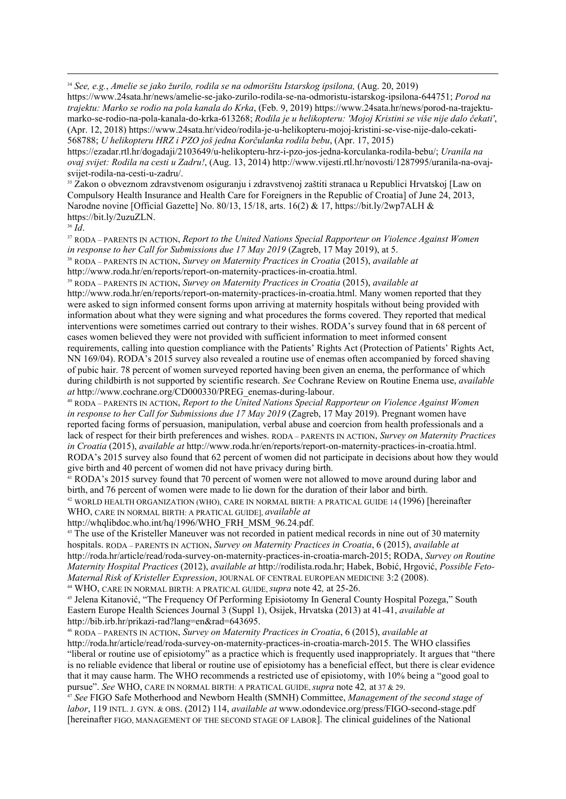<sup>34</sup> *See, e.g.*, *Amelie se jako žurilo, rodila se na odmorištu Istarskog ipsilona,* (Aug. 20, 2019)

https://www.24sata.hr/news/amelie-se-jako-zurilo-rodila-se-na-odmoristu-istarskog-ipsilona-644751; *Porod na trajektu: Marko se rodio na pola kanala do Krka*, (Feb. 9, 2019) https://www.24sata.hr/news/porod-na-trajektu-(Apr. 12, 2018) https://www.24sata.hr/video/rodila-ie-u-helikopteru-mojoj-kristini-se-vise-nije-dalo-cekati-568788; *U helikopteru HRZ i PZO još jedna Korčulanka rodila bebu*, (Apr. 17, 2015)

https://ezadar.rtl.hr/dogadaji/2103649/u-helikopteru-hrz-i-pzo-jos-jedna-korculanka-rodila-bebu/; *Uranila na ovaj svijet: Rodila na cesti u Zadru!*, (Aug. 13, 2014) http://www.vijesti.rtl.hr/novosti/1287995/uranila-na-ovajsvijet-rodila-na-cesti-u-zadru/.

<sup>35</sup> Zakon o obveznom zdravstvenom osiguranju i zdravstvenoj zaštiti stranaca u Republici Hrvatskoj [Law on Compulsory Health Insurance and Health Care for Foreigners in the Republic of Croatia] of June 24, 2013, Narodne novine [Official Gazette] No. 80/13, 15/18, arts. 16(2) & 17,<https://bit.ly/2wp7ALH>& <https://bit.ly/2uzuZLN>.

<sup>36</sup> *Id*.

<sup>37</sup> RODA – PARENTS IN ACTION, *Report to the United Nations Special Rapporteur on Violence Against Women in response to her Call for Submissions due 17 May 2019* (Zagreb, 17 May 2019), at 5. <sup>38</sup> RODA – PARENTS IN ACTION, *Survey on Maternity Practices in Croatia* (2015), *available at* 

http://www.roda.hr/en/reports/report-on-maternity-practices-in-croatia.html.

<sup>39</sup> RODA – PARENTS IN ACTION, *Survey on Maternity Practices in Croatia* (2015), *available at* http://www.roda.hr/en/reports/report-on-maternity-practices-in-croatia.html. Many women reported that they were asked to sign informed consent forms upon arriving at maternity hospitals without being provided with information about what they were signing and what procedures the forms covered. They reported that medical interventions were sometimes carried out contrary to their wishes. RODA's survey found that in 68 percent of cases women believed they were not provided with sufficient information to meet informed consent requirements, calling into question compliance with the Patients' Rights Act (Protection of Patients' Rights Act, NN 169/04). RODA's 2015 survey also revealed a routine use of enemas often accompanied by forced shaving of pubic hair. 78 percent of women surveyed reported having been given an enema, the performance of which during childbirth is not supported by scientific research. *See* Cochrane Review on Routine Enema use, *available at* http://www.cochrane.org/CD000330/PREG\_enemas-during-labour.

<sup>40</sup> RODA – PARENTS IN ACTION, *Report to the United Nations Special Rapporteur on Violence Against Women in response to her Call for Submissions due 17 May 2019* (Zagreb, 17 May 2019). Pregnant women have reported facing forms of persuasion, manipulation, verbal abuse and coercion from health professionals and a lack of respect for their birth preferences and wishes. RODA – PARENTS IN ACTION, *Survey on Maternity Practices in Croatia* (2015), *available at* http://www.roda.hr/en/reports/report-on-maternity-practices-in-croatia.html. RODA's 2015 survey also found that 62 percent of women did not participate in decisions about how they would give birth and 40 percent of women did not have privacy during birth.

<sup>41</sup> RODA's 2015 survey found that 70 percent of women were not allowed to move around during labor and birth, and 76 percent of women were made to lie down for the duration of their labor and birth.

<sup>42</sup> WORLD HEALTH ORGANIZATION (WHO), CARE IN NORMAL BIRTH: A PRATICAL GUIDE 14 (1996) [hereinafter WHO, CARE IN NORMAL BIRTH: A PRATICAL GUIDE], *available at* 

http://whqlibdoc.who.int/hq/1996/WHO\_FRH\_MSM\_96.24.pdf.

<sup>43</sup> The use of the Kristeller Maneuver was not recorded in patient medical records in nine out of 30 maternity hospitals. RODA – PARENTS IN ACTION, *Survey on Maternity Practices in Croatia*, 6 (2015), *available at* http://roda.hr/article/read/roda-survey-on-maternity-practices-in-croatia-march-2015; RODA, *Survey on Routine Maternity Hospital Practices* (2012), *available at* [http://rodilista.roda.hr; Habek, Bobić, Hrgović,](http://rodilista.roda.hr/) *Possible Feto-Maternal Risk of Kristeller Expression*, JOURNAL OF CENTRAL EUROPEAN MEDICINE 3:2 (2008).

<sup>44</sup> WHO, CARE IN NORMAL BIRTH: A PRATICAL GUIDE, *supra* note 42*,* at 25-26.

<sup>45</sup> Jelena Kitanović, "The Frequency Of Performing Episiotomy In General County Hospital Pozega," South Eastern Europe Health Sciences Journal 3 (Suppl 1), Osijek, Hrvatska (2013) at 41-41, *available at* http://bib.irb.hr/prikazi-rad?lang=en&rad=643695.

<sup>46</sup> RODA – PARENTS IN ACTION, *Survey on Maternity Practices in Croatia*, 6 (2015), *available at* http://roda.hr/article/read/roda-survey-on-maternity-practices-in-croatia-march-2015. The WHO classifies "liberal or routine use of episiotomy" as a practice which is frequently used inappropriately. It argues that "there is no reliable evidence that liberal or routine use of episiotomy has a beneficial effect, but there is clear evidence that it may cause harm. The WHO recommends a restricted use of episiotomy, with 10% being a "good goal to pursue". *See* WHO, CARE IN NORMAL BIRTH: A PRATICAL GUIDE, *supra* note 42*,* at 37 & 29.

<sup>47</sup> *See* FIGO Safe Motherhood and Newborn Health (SMNH) Committee, *Management of the second stage of labor*, 119 INTL. J. GYN. & OBS. (2012) 114, *available at* [www.odondevice.org/press/FIGO-second-stage.pdf](http://www.odondevice.org/press/FIGO-second-stage.pdf) [hereinafter FIGO, MANAGEMENT OF THE SECOND STAGE OF LABOR]. The clinical guidelines of the National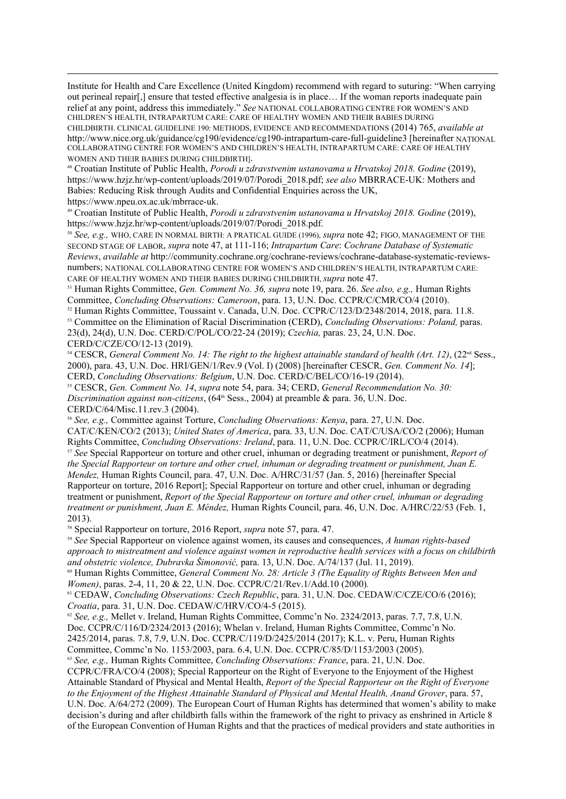Institute for Health and Care Excellence (United Kingdom) recommend with regard to suturing: "When carrying out perineal repair[,] ensure that tested effective analgesia is in place… If the woman reports inadequate pain relief at any point, address this immediately." *See* NATIONAL COLLABORATING CENTRE FOR WOMEN'S AND CHILDREN'S HEALTH, INTRAPARTUM CARE: CARE OF HEALTHY WOMEN AND THEIR BABIES DURING CHILDBIRTH. CLINICAL GUIDELINE 190: METHODS, EVIDENCE AND RECOMMENDATIONS (2014) 765, *available at*  <http://www.nice.org.uk/guidance/cg190/evidence/cg190-intrapartum-care-full-guideline3> [hereinafter NATIONAL COLLABORATING CENTRE FOR WOMEN'S AND CHILDREN'S HEALTH, INTRAPARTUM CARE: CARE OF HEALTHY WOMEN AND THEIR BABIES DURING CHILDBIRTH].

<sup>48</sup> Croatian Institute of Public Health, *Porodi u zdravstvenim ustanovama u Hrvatskoj 2018. Godine* (2019), https://www.hzjz.hr/wp-content/uploads/2019/07/Porodi\_2018.pdf; *see also* MBRRACE-UK: Mothers and Babies: Reducing Risk through Audits and Confidential Enquiries across the UK,

https://www.npeu.ox.ac.uk/mbrrace-uk.

<sup>49</sup> Croatian Institute of Public Health, *Porodi u zdravstvenim ustanovama u Hrvatskoj 2018. Godine* (2019), [https://www.hzjz.hr/wp-content/uploads/2019/07/Porodi\\_2018.pdf.](https://www.hzjz.hr/wp-content/uploads/2019/07/Porodi_2018.pdf)

<sup>50</sup> *See, e.g.,* WHO, CARE IN NORMAL BIRTH: A PRATICAL GUIDE (1996), *supra* note 42; FIGO, MANAGEMENT OF THE SECOND STAGE OF LABOR, *supra* note 47, at 111-116; *Intrapartum Care*: *Cochrane Database of Systematic Reviews*, *available at* http://community.cochrane.org/cochrane-reviews/cochrane-database-systematic-reviewsnumbers; NATIONAL COLLABORATING CENTRE FOR WOMEN'S AND CHILDREN'S HEALTH, INTRAPARTUM CARE: CARE OF HEALTHY WOMEN AND THEIR BABIES DURING CHILDBIRTH, *supra* note 47.

<sup>51</sup> Human Rights Committee, *Gen. Comment No. 36, supra* note 19, para. 26. *See also, e.g.,* Human Rights Committee, *Concluding Observations: Cameroon*, para. 13, U.N. Doc. CCPR/C/CMR/CO/4 (2010).

<sup>52</sup> Human Rights Committee, Toussaint v. Canada, U.N. Doc. CCPR/C/123/D/2348/2014, 2018, para. 11.8. <sup>53</sup> Committee on the Elimination of Racial Discrimination (CERD), *Concluding Observations: Poland,* paras. 23(d), 24(d), U.N. Doc. CERD/C/POL/CO/22-24 (2019); *Czechia,* paras. 23, 24, U.N. Doc. CERD/C/CZE/CO/12-13 (2019).

<sup>54</sup> CESCR, *General Comment No. 14: The right to the highest attainable standard of health (Art. 12)*, (22<sup>nd</sup> Sess., 2000), para. 43, U.N. Doc. HRI/GEN/1/Rev.9 (Vol. I) (2008) [hereinafter CESCR, *Gen. Comment No. 14*]; CERD, *Concluding Observations: Belgium*, U.N. Doc. CERD/C/BEL/CO/16-19 (2014).

<sup>55</sup> CESCR, *Gen. Comment No. 14*, *supra* note 54, para. 34; CERD, *General Recommendation No. 30: Discrimination against non-citizens*, (64<sup>th</sup> Sess., 2004) at preamble & para. 36, U.N. Doc. CERD/C/64/Misc.11.rev.3 (2004).

<sup>56</sup> *See, e.g.,* Committee against Torture, *Concluding Observations: Kenya*, para. 27, U.N. Doc. CAT/C/KEN/CO/2 (2013); *United States of America*, para. 33, U.N. Doc. CAT/C/USA/CO/2 (2006); Human Rights Committee, *Concluding Observations: Ireland*, para. 11, U.N. Doc. CCPR/C/IRL/CO/4 (2014).

<sup>57</sup> *See* Special Rapporteur on torture and other cruel, inhuman or degrading treatment or punishment, *Report of the Special Rapporteur on torture and other cruel, inhuman or degrading treatment or punishment, Juan E. Mendez,* Human Rights Council, para. 47, U.N. Doc. A/HRC/31/57 (Jan. 5, 2016) [hereinafter Special Rapporteur on torture, 2016 Report]; Special Rapporteur on torture and other cruel, inhuman or degrading treatment or punishment, *Report of the Special Rapporteur on torture and other cruel, inhuman or degrading treatment or punishment, Juan E. Méndez,* Human Rights Council, para. 46, U.N. Doc. A/HRC/22/53 (Feb. 1, 2013).

<sup>58</sup> Special Rapporteur on torture, 2016 Report, *supra* note 57, para. 47.

<sup>59</sup> *See* Special Rapporteur on violence against women, its causes and consequences, *A human rights-based approach to mistreatment and violence against women in reproductive health services with a focus on childbirth and obstetric violence, Dubravka Šimonović,* para. 13, U.N. Doc. A/74/137 (Jul. 11, 2019).

<sup>60</sup> Human Rights Committee, *General Comment No. 28: Article 3 (The Equality of Rights Between Men and Women)*, paras. 2-4, 11, 20 & 22, U.N. Doc. CCPR/C/21/Rev.1/Add.10 (2000)*.*

<sup>61</sup> CEDAW, *Concluding Observations: Czech Republic*, para. 31, U.N. Doc. CEDAW/C/CZE/CO/6 (2016); *Croatia*, para. 31, U.N. Doc. CEDAW/C/HRV/CO/4-5 (2015).

<sup>62</sup> *See, e.g., Mellet v. Ireland, Human Rights Committee, Commc'n No. 2324/2013, paras. 7.7, 7.8, U.N.* Doc. CCPR/C/116/D/2324/2013 (2016); Whelan v. Ireland, Human Rights Committee, Commc'n No. 2425/2014, paras. 7.8, 7.9, U.N. Doc. CCPR/C/119/D/2425/2014 (2017); K.L. v. Peru, Human Rights Committee, Commc'n No. 1153/2003, para. 6.4, U.N. Doc. CCPR/C/85/D/1153/2003 (2005).

<sup>63</sup> *See, e.g.,* Human Rights Committee, *Concluding Observations: France*, para. 21, U.N. Doc.

CCPR/C/FRA/CO/4 (2008); Special Rapporteur on the Right of Everyone to the Enjoyment of the Highest Attainable Standard of Physical and Mental Health, *Report of the Special Rapporteur on the Right of Everyone to the Enjoyment of the Highest Attainable Standard of Physical and Mental Health, Anand Grover*, para. 57, U.N. Doc. A/64/272 (2009). The European Court of Human Rights has determined that women's ability to make decision's during and after childbirth falls within the framework of the right to privacy as enshrined in Article 8 of the European Convention of Human Rights and that the practices of medical providers and state authorities in